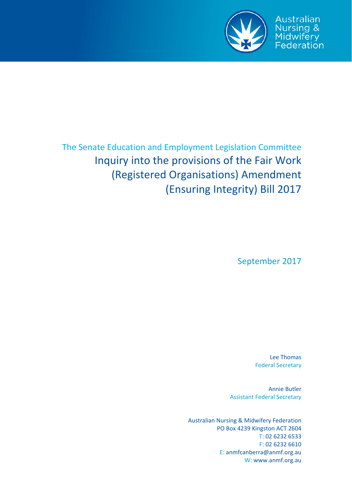

Australian **Nursing &** Midwifery Federation

# The Senate Education and Employment Legislation Committee Inquiry into the provisions of the Fair Work (Registered Organisations) Amendment (Ensuring Integrity) Bill 2017

September 2017

Lee Thomas Federal Secretary

Annie Butler Assistant Federal Secretary

Australian Nursing & Midwifery Federation PO Box 4239 Kingston ACT 2604 T: 02 6232 6533 F: 02 6232 6610 E: anmfcanberra@anmf.org.au W: www.anmf.org.au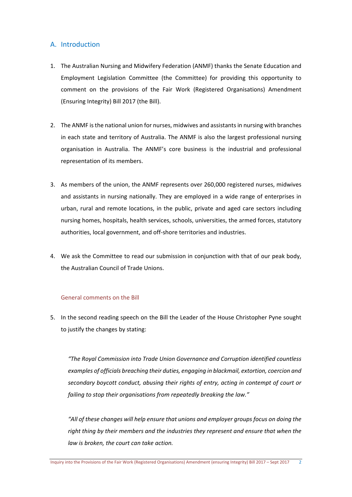# A. Introduction

- 1. The Australian Nursing and Midwifery Federation (ANMF) thanks the Senate Education and Employment Legislation Committee (the Committee) for providing this opportunity to comment on the provisions of the Fair Work (Registered Organisations) Amendment (Ensuring Integrity) Bill 2017 (the Bill).
- 2. The ANMF is the national union for nurses, midwives and assistants in nursing with branches in each state and territory of Australia. The ANMF is also the largest professional nursing organisation in Australia. The ANMF's core business is the industrial and professional representation of its members.
- 3. As members of the union, the ANMF represents over 260,000 registered nurses, midwives and assistants in nursing nationally. They are employed in a wide range of enterprises in urban, rural and remote locations, in the public, private and aged care sectors including nursing homes, hospitals, health services, schools, universities, the armed forces, statutory authorities, local government, and off‐shore territories and industries.
- 4. We ask the Committee to read our submission in conjunction with that of our peak body, the Australian Council of Trade Unions.

#### General comments on the Bill

5. In the second reading speech on the Bill the Leader of the House Christopher Pyne sought to justify the changes by stating:

*"The Royal Commission into Trade Union Governance and Corruption identified countless examples of officials breaching their duties, engaging in blackmail, extortion, coercion and secondary boycott conduct, abusing their rights of entry, acting in contempt of court or failing to stop their organisations from repeatedly breaking the law."*

*"All of these changes will help ensure that unions and employer groups focus on doing the right thing by their members and the industries they represent and ensure that when the law is broken, the court can take action.*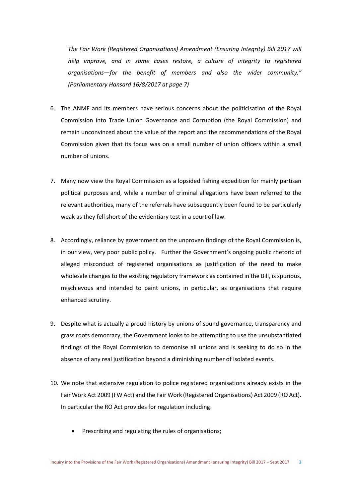*The Fair Work (Registered Organisations) Amendment (Ensuring Integrity) Bill 2017 will help improve, and in some cases restore, a culture of integrity to registered organisations—for the benefit of members and also the wider community." (Parliamentary Hansard 16/8/2017 at page 7)* 

- 6. The ANMF and its members have serious concerns about the politicisation of the Royal Commission into Trade Union Governance and Corruption (the Royal Commission) and remain unconvinced about the value of the report and the recommendations of the Royal Commission given that its focus was on a small number of union officers within a small number of unions.
- 7. Many now view the Royal Commission as a lopsided fishing expedition for mainly partisan political purposes and, while a number of criminal allegations have been referred to the relevant authorities, many of the referrals have subsequently been found to be particularly weak as they fell short of the evidentiary test in a court of law.
- 8. Accordingly, reliance by government on the unproven findings of the Royal Commission is, in our view, very poor public policy. Further the Government's ongoing public rhetoric of alleged misconduct of registered organisations as justification of the need to make wholesale changes to the existing regulatory framework as contained in the Bill, is spurious, mischievous and intended to paint unions, in particular, as organisations that require enhanced scrutiny.
- 9. Despite what is actually a proud history by unions of sound governance, transparency and grass roots democracy, the Government looks to be attempting to use the unsubstantiated findings of the Royal Commission to demonise all unions and is seeking to do so in the absence of any real justification beyond a diminishing number of isolated events.
- 10. We note that extensive regulation to police registered organisations already exists in the Fair Work Act 2009 (FW Act) and the Fair Work (Registered Organisations) Act 2009 (RO Act). In particular the RO Act provides for regulation including:
	- Prescribing and regulating the rules of organisations;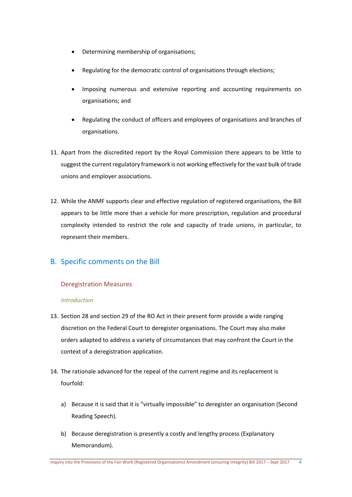- Determining membership of organisations;
- Regulating for the democratic control of organisations through elections;
- Imposing numerous and extensive reporting and accounting requirements on organisations; and
- Regulating the conduct of officers and employees of organisations and branches of organisations.
- 11. Apart from the discredited report by the Royal Commission there appears to be little to suggest the current regulatory framework is not working effectively for the vast bulk of trade unions and employer associations.
- 12. While the ANMF supports clear and effective regulation of registered organisations, the Bill appears to be little more than a vehicle for more prescription, regulation and procedural complexity intended to restrict the role and capacity of trade unions, in particular, to represent their members.

# B. Specific comments on the Bill

# Deregistration Measures

# *Introduction*

- 13. Section 28 and section 29 of the RO Act in their present form provide a wide ranging discretion on the Federal Court to deregister organisations. The Court may also make orders adapted to address a variety of circumstances that may confront the Court in the context of a deregistration application.
- 14. The rationale advanced for the repeal of the current regime and its replacement is fourfold:
	- a) Because it is said that it is "virtually impossible" to deregister an organisation (Second Reading Speech).
	- b) Because deregistration is presently a costly and lengthy process (Explanatory Memorandum).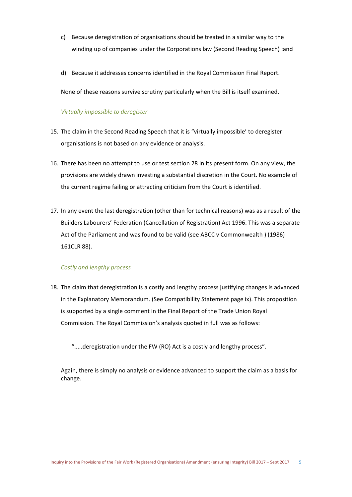- c) Because deregistration of organisations should be treated in a similar way to the winding up of companies under the Corporations law (Second Reading Speech) :and
- d) Because it addresses concerns identified in the Royal Commission Final Report.

None of these reasons survive scrutiny particularly when the Bill is itself examined.

#### *Virtually impossible to deregister*

- 15. The claim in the Second Reading Speech that it is "virtually impossible' to deregister organisations is not based on any evidence or analysis.
- 16. There has been no attempt to use or test section 28 in its present form. On any view, the provisions are widely drawn investing a substantial discretion in the Court. No example of the current regime failing or attracting criticism from the Court is identified.
- 17. In any event the last deregistration (other than for technical reasons) was as a result of the Builders Labourers' Federation (Cancellation of Registration) Act 1996. This was a separate Act of the Parliament and was found to be valid (see ABCC v Commonwealth ) (1986) 161CLR 88).

#### *Costly and lengthy process*

18. The claim that deregistration is a costly and lengthy process justifying changes is advanced in the Explanatory Memorandum. (See Compatibility Statement page ix). This proposition is supported by a single comment in the Final Report of the Trade Union Royal Commission. The Royal Commission's analysis quoted in full was as follows:

".....deregistration under the FW (RO) Act is a costly and lengthy process".

Again, there is simply no analysis or evidence advanced to support the claim as a basis for change.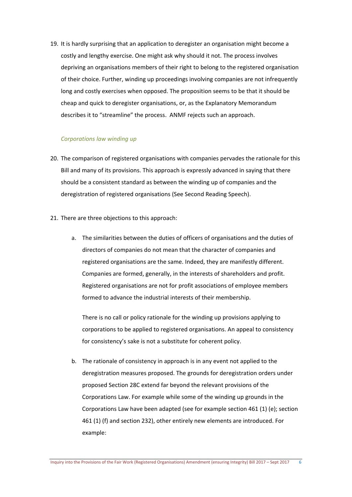19. It is hardly surprising that an application to deregister an organisation might become a costly and lengthy exercise. One might ask why should it not. The process involves depriving an organisations members of their right to belong to the registered organisation of their choice. Further, winding up proceedings involving companies are not infrequently long and costly exercises when opposed. The proposition seems to be that it should be cheap and quick to deregister organisations, or, as the Explanatory Memorandum describes it to "streamline" the process. ANMF rejects such an approach.

#### *Corporations law winding up*

- 20. The comparison of registered organisations with companies pervades the rationale for this Bill and many of its provisions. This approach is expressly advanced in saying that there should be a consistent standard as between the winding up of companies and the deregistration of registered organisations (See Second Reading Speech).
- 21. There are three objections to this approach:
	- a. The similarities between the duties of officers of organisations and the duties of directors of companies do not mean that the character of companies and registered organisations are the same. Indeed, they are manifestly different. Companies are formed, generally, in the interests of shareholders and profit. Registered organisations are not for profit associations of employee members formed to advance the industrial interests of their membership.

There is no call or policy rationale for the winding up provisions applying to corporations to be applied to registered organisations. An appeal to consistency for consistency's sake is not a substitute for coherent policy.

b. The rationale of consistency in approach is in any event not applied to the deregistration measures proposed. The grounds for deregistration orders under proposed Section 28C extend far beyond the relevant provisions of the Corporations Law. For example while some of the winding up grounds in the Corporations Law have been adapted (see for example section 461 (1) (e); section 461 (1) (f) and section 232), other entirely new elements are introduced. For example: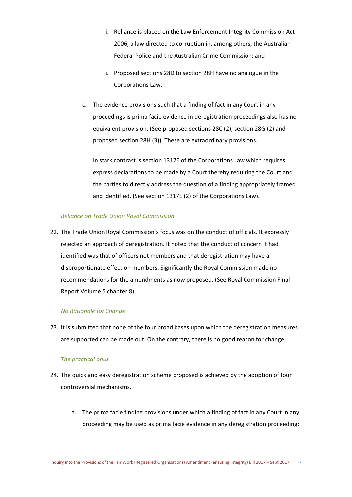- i. Reliance is placed on the Law Enforcement Integrity Commission Act 2006, a law directed to corruption in, among others, the Australian Federal Police and the Australian Crime Commission; and
- ii. Proposed sections 28D to section 28H have no analogue in the Corporations Law.
- c. The evidence provisions such that a finding of fact in any Court in any proceedings is prima facie evidence in deregistration proceedings also has no equivalent provision. (See proposed sections 28C (2); section 28G (2) and proposed section 28H (3)). These are extraordinary provisions.

In stark contrast is section 1317E of the Corporations Law which requires express declarations to be made by a Court thereby requiring the Court and the parties to directly address the question of a finding appropriately framed and identified. (See section 1317E (2) of the Corporations Law).

#### *Reliance on Trade Union Royal Commission*

22. The Trade Union Royal Commission's focus was on the conduct of officials. It expressly rejected an approach of deregistration. It noted that the conduct of concern it had identified was that of officers not members and that deregistration may have a disproportionate effect on members. Significantly the Royal Commission made no recommendations for the amendments as now proposed. (See Royal Commission Final Report Volume 5 chapter 8)

# *No Rationale for Change*

23. It is submitted that none of the four broad bases upon which the deregistration measures are supported can be made out. On the contrary, there is no good reason for change.

#### *The practical onus*

- 24. The quick and easy deregistration scheme proposed is achieved by the adoption of four controversial mechanisms.
	- a. The prima facie finding provisions under which a finding of fact in any Court in any proceeding may be used as prima facie evidence in any deregistration proceeding;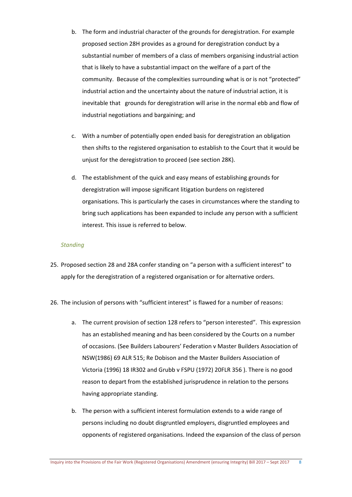- b. The form and industrial character of the grounds for deregistration. For example proposed section 28H provides as a ground for deregistration conduct by a substantial number of members of a class of members organising industrial action that is likely to have a substantial impact on the welfare of a part of the community. Because of the complexities surrounding what is or is not "protected" industrial action and the uncertainty about the nature of industrial action, it is inevitable that grounds for deregistration will arise in the normal ebb and flow of industrial negotiations and bargaining; and
- c. With a number of potentially open ended basis for deregistration an obligation then shifts to the registered organisation to establish to the Court that it would be unjust for the deregistration to proceed (see section 28K).
- d. The establishment of the quick and easy means of establishing grounds for deregistration will impose significant litigation burdens on registered organisations. This is particularly the cases in circumstances where the standing to bring such applications has been expanded to include any person with a sufficient interest. This issue is referred to below.

#### *Standing*

- 25. Proposed section 28 and 28A confer standing on "a person with a sufficient interest" to apply for the deregistration of a registered organisation or for alternative orders.
- 26. The inclusion of persons with "sufficient interest" is flawed for a number of reasons:
	- a. The current provision of section 128 refers to "person interested". This expression has an established meaning and has been considered by the Courts on a number of occasions. (See Builders Labourers' Federation v Master Builders Association of NSW(1986) 69 ALR 515; Re Dobison and the Master Builders Association of Victoria (1996) 18 IR302 and Grubb v FSPU (1972) 20FLR 356 ). There is no good reason to depart from the established jurisprudence in relation to the persons having appropriate standing.
	- b. The person with a sufficient interest formulation extends to a wide range of persons including no doubt disgruntled employers, disgruntled employees and opponents of registered organisations. Indeed the expansion of the class of person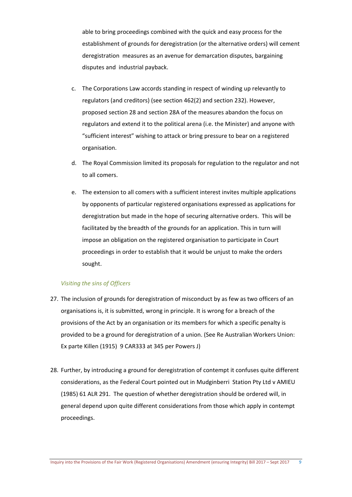able to bring proceedings combined with the quick and easy process for the establishment of grounds for deregistration (or the alternative orders) will cement deregistration measures as an avenue for demarcation disputes, bargaining disputes and industrial payback.

- c. The Corporations Law accords standing in respect of winding up relevantly to regulators (and creditors) (see section 462(2) and section 232). However, proposed section 28 and section 28A of the measures abandon the focus on regulators and extend it to the political arena (i.e. the Minister) and anyone with "sufficient interest" wishing to attack or bring pressure to bear on a registered organisation.
- d. The Royal Commission limited its proposals for regulation to the regulator and not to all comers.
- e. The extension to all comers with a sufficient interest invites multiple applications by opponents of particular registered organisations expressed as applications for deregistration but made in the hope of securing alternative orders. This will be facilitated by the breadth of the grounds for an application. This in turn will impose an obligation on the registered organisation to participate in Court proceedings in order to establish that it would be unjust to make the orders sought.

#### *Visiting the sins of Officers*

- 27. The inclusion of grounds for deregistration of misconduct by as few as two officers of an organisations is, it is submitted, wrong in principle. It is wrong for a breach of the provisions of the Act by an organisation or its members for which a specific penalty is provided to be a ground for deregistration of a union. (See Re Australian Workers Union: Ex parte Killen (1915) 9 CAR333 at 345 per Powers J)
- 28. Further, by introducing a ground for deregistration of contempt it confuses quite different considerations, as the Federal Court pointed out in Mudginberri Station Pty Ltd v AMIEU (1985) 61 ALR 291. The question of whether deregistration should be ordered will, in general depend upon quite different considerations from those which apply in contempt proceedings.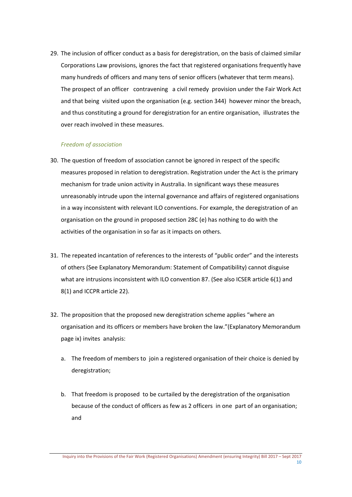29. The inclusion of officer conduct as a basis for deregistration, on the basis of claimed similar Corporations Law provisions, ignores the fact that registered organisations frequently have many hundreds of officers and many tens of senior officers (whatever that term means). The prospect of an officer contravening a civil remedy provision under the Fair Work Act and that being visited upon the organisation (e.g. section 344) however minor the breach, and thus constituting a ground for deregistration for an entire organisation, illustrates the over reach involved in these measures.

# *Freedom of association*

- 30. The question of freedom of association cannot be ignored in respect of the specific measures proposed in relation to deregistration. Registration under the Act is the primary mechanism for trade union activity in Australia. In significant ways these measures unreasonably intrude upon the internal governance and affairs of registered organisations in a way inconsistent with relevant ILO conventions. For example, the deregistration of an organisation on the ground in proposed section 28C (e) has nothing to do with the activities of the organisation in so far as it impacts on others.
- 31. The repeated incantation of references to the interests of "public order" and the interests of others (See Explanatory Memorandum: Statement of Compatibility) cannot disguise what are intrusions inconsistent with ILO convention 87. (See also ICSER article 6(1) and 8(1) and ICCPR article 22).
- 32. The proposition that the proposed new deregistration scheme applies "where an organisation and its officers or members have broken the law."(Explanatory Memorandum page ix) invites analysis:
	- a. The freedom of members to join a registered organisation of their choice is denied by deregistration;
	- b. That freedom is proposed to be curtailed by the deregistration of the organisation because of the conduct of officers as few as 2 officers in one part of an organisation; and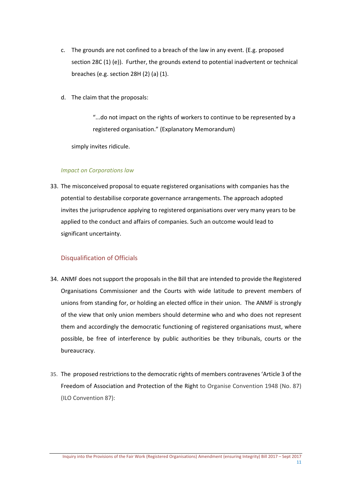- c. The grounds are not confined to a breach of the law in any event. (E.g. proposed section 28C (1) (e)). Further, the grounds extend to potential inadvertent or technical breaches (e.g. section 28H (2) (a) (1).
- d. The claim that the proposals:

"...do not impact on the rights of workers to continue to be represented by a registered organisation." (Explanatory Memorandum)

simply invites ridicule.

#### *Impact on Corporations law*

33. The misconceived proposal to equate registered organisations with companies has the potential to destabilise corporate governance arrangements. The approach adopted invites the jurisprudence applying to registered organisations over very many years to be applied to the conduct and affairs of companies. Such an outcome would lead to significant uncertainty.

# Disqualification of Officials

- 34. ANMF does not support the proposals in the Bill that are intended to provide the Registered Organisations Commissioner and the Courts with wide latitude to prevent members of unions from standing for, or holding an elected office in their union. The ANMF is strongly of the view that only union members should determine who and who does not represent them and accordingly the democratic functioning of registered organisations must, where possible, be free of interference by public authorities be they tribunals, courts or the bureaucracy.
- 35. The proposed restrictions to the democratic rights of members contravenes 'Article 3 of the Freedom of Association and Protection of the Right to Organise Convention 1948 (No. 87) (ILO Convention 87):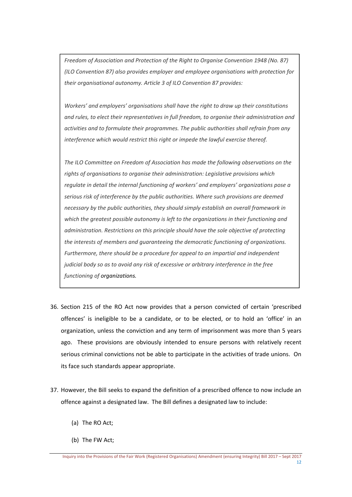*Freedom of Association and Protection of the Right to Organise Convention 1948 (No. 87) (ILO Convention 87) also provides employer and employee organisations with protection for their organisational autonomy. Article 3 of ILO Convention 87 provides:*

*Workers' and employers' organisations shall have the right to draw up their constitutions and rules, to elect their representatives in full freedom, to organise their administration and activities and to formulate their programmes. The public authorities shall refrain from any interference which would restrict this right or impede the lawful exercise thereof.*

*The ILO Committee on Freedom of Association has made the following observations on the rights of organisations to organise their administration: Legislative provisions which regulate in detail the internal functioning of workers' and employers' organizations pose a serious risk of interference by the public authorities. Where such provisions are deemed necessary by the public authorities, they should simply establish an overall framework in which the greatest possible autonomy is left to the organizations in their functioning and administration. Restrictions on this principle should have the sole objective of protecting the interests of members and guaranteeing the democratic functioning of organizations. Furthermore, there should be a procedure for appeal to an impartial and independent judicial body so as to avoid any risk of excessive or arbitrary interference in the free functioning of organizations.*

- 36. Section 215 of the RO Act now provides that a person convicted of certain 'prescribed offences' is ineligible to be a candidate, or to be elected, or to hold an 'office' in an organization, unless the conviction and any term of imprisonment was more than 5 years ago. These provisions are obviously intended to ensure persons with relatively recent serious criminal convictions not be able to participate in the activities of trade unions. On its face such standards appear appropriate.
- 37. However, the Bill seeks to expand the definition of a prescribed offence to now include an offence against a designated law. The Bill defines a designated law to include:
	- (a) The RO Act;
	- (b) The FW Act;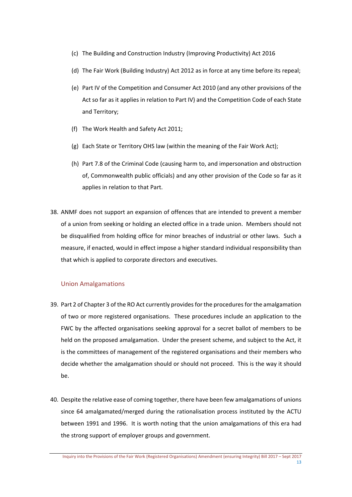- (c) The Building and Construction Industry (Improving Productivity) Act 2016
- (d) The Fair Work (Building Industry) Act 2012 as in force at any time before its repeal;
- (e) Part IV of the Competition and Consumer Act 2010 (and any other provisions of the Act so far as it applies in relation to Part IV) and the Competition Code of each State and Territory;
- (f) The Work Health and Safety Act 2011;
- (g) Each State or Territory OHS law (within the meaning of the Fair Work Act);
- (h) Part 7.8 of the Criminal Code (causing harm to, and impersonation and obstruction of, Commonwealth public officials) and any other provision of the Code so far as it applies in relation to that Part.
- 38. ANMF does not support an expansion of offences that are intended to prevent a member of a union from seeking or holding an elected office in a trade union. Members should not be disqualified from holding office for minor breaches of industrial or other laws. Such a measure, if enacted, would in effect impose a higher standard individual responsibility than that which is applied to corporate directors and executives.

# Union Amalgamations

- 39. Part 2 of Chapter 3 of the RO Act currently providesforthe proceduresfor the amalgamation of two or more registered organisations. These procedures include an application to the FWC by the affected organisations seeking approval for a secret ballot of members to be held on the proposed amalgamation. Under the present scheme, and subject to the Act, it is the committees of management of the registered organisations and their members who decide whether the amalgamation should or should not proceed. This is the way it should be.
- 40. Despite the relative ease of coming together, there have been few amalgamations of unions since 64 amalgamated/merged during the rationalisation process instituted by the ACTU between 1991 and 1996. It is worth noting that the union amalgamations of this era had the strong support of employer groups and government.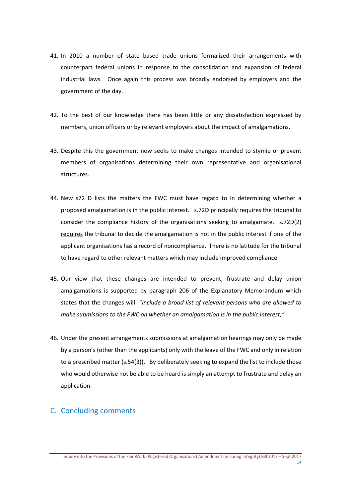- 41. In 2010 a number of state based trade unions formalized their arrangements with counterpart federal unions in response to the consolidation and expansion of federal industrial laws. Once again this process was broadly endorsed by employers and the government of the day.
- 42. To the best of our knowledge there has been little or any dissatisfaction expressed by members, union officers or by relevant employers about the impact of amalgamations.
- 43. Despite this the government now seeks to make changes intended to stymie or prevent members of organisations determining their own representative and organisational structures.
- 44. New s72 D lists the matters the FWC must have regard to in determining whether a proposed amalgamation is in the public interest. s.72D principally requires the tribunal to consider the compliance history of the organisations seeking to amalgamate. s.72D(2) requires the tribunal to decide the amalgamation is not in the public interest if one of the applicant organisations has a record of noncompliance. There is no latitude for the tribunal to have regard to other relevant matters which may include improved compliance.
- 45. Our view that these changes are intended to prevent, frustrate and delay union amalgamations is supported by paragraph 206 of the Explanatory Memorandum which states that the changes will "*include a broad list of relevant persons who are allowed to make submissions to the FWC on whether an amalgamation is in the public interest;"*
- 46. Under the present arrangements submissions at amalgamation hearings may only be made by a person's (other than the applicants) only with the leave of the FWC and only in relation to a prescribed matter (s.54(3)). By deliberately seeking to expand the list to include those who would otherwise not be able to be heard is simply an attempt to frustrate and delay an application.

# C. Concluding comments